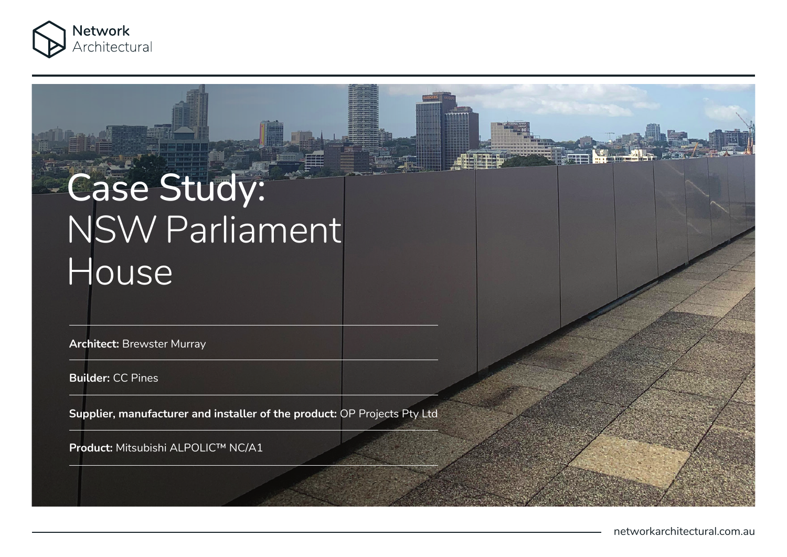

# Case Study: NSW Parliament **House**

**Architect:** Brewster Murray

**Builder:** CC Pines

**Supplier, manufacturer and installer of the product:** OP Projects Pty Ltd

**Product:** Mitsubishi ALPOLIC™ NC/A1

networkarchitectural.com.au